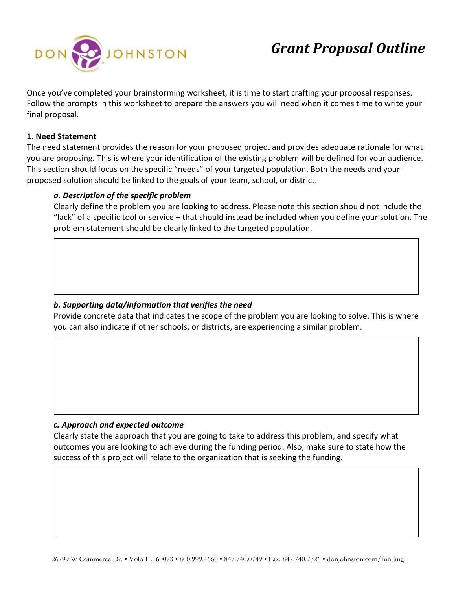

Once you've completed your brainstorming worksheet, it is time to start crafting your proposal responses. Follow the prompts in this worksheet to prepare the answers you will need when it comes time to write your final proposal.

# **1. Need Statement**

The need statement provides the reason for your proposed project and provides adequate rationale for what you are proposing. This is where your identification of the existing problem will be defined for your audience. This section should focus on the specific "needs" of your targeted population. Both the needs and your proposed solution should be linked to the goals of your team, school, or district.

# *a. Description of the specific problem*

Clearly define the problem you are looking to address. Please note this section should not include the "lack" of a specific tool or service – that should instead be included when you define your solution. The problem statement should be clearly linked to the targeted population.

# *b. Supporting data/information that verifies the need*

Provide concrete data that indicates the scope of the problem you are looking to solve. This is where you can also indicate if other schools, or districts, are experiencing a similar problem.

# *c. Approach and expected outcome*

Clearly state the approach that you are going to take to address this problem, and specify what outcomes you are looking to achieve during the funding period. Also, make sure to state how the success of this project will relate to the organization that is seeking the funding.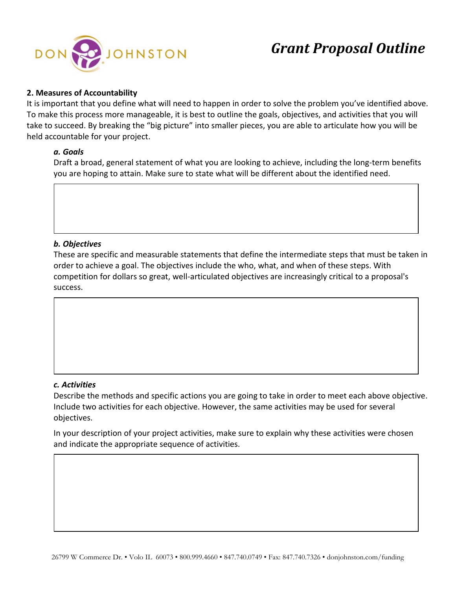

### **2. Measures of Accountability**

It is important that you define what will need to happen in order to solve the problem you've identified above. To make this process more manageable, it is best to outline the goals, objectives, and activities that you will take to succeed. By breaking the "big picture" into smaller pieces, you are able to articulate how you will be held accountable for your project.

### *a. Goals*

Draft a broad, general statement of what you are looking to achieve, including the long-term benefits you are hoping to attain. Make sure to state what will be different about the identified need.

### *b. Objectives*

These are specific and measurable statements that define the intermediate steps that must be taken in order to achieve a goal. The objectives include the who, what, and when of these steps. With competition for dollars so great, well-articulated objectives are increasingly critical to a proposal's success.

### *c. Activities*

Describe the methods and specific actions you are going to take in order to meet each above objective. Include two activities for each objective. However, the same activities may be used for several objectives.

In your description of your project activities, make sure to explain why these activities were chosen and indicate the appropriate sequence of activities.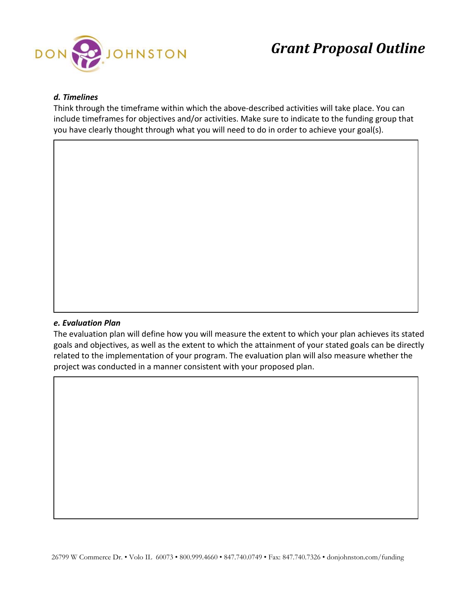

# *d. Timelines*

Think through the timeframe within which the above-described activities will take place. You can include timeframes for objectives and/or activities. Make sure to indicate to the funding group that you have clearly thought through what you will need to do in order to achieve your goal(s).

#### *e. Evaluation Plan*

The evaluation plan will define how you will measure the extent to which your plan achieves its stated goals and objectives, as well as the extent to which the attainment of your stated goals can be directly related to the implementation of your program. The evaluation plan will also measure whether the project was conducted in a manner consistent with your proposed plan.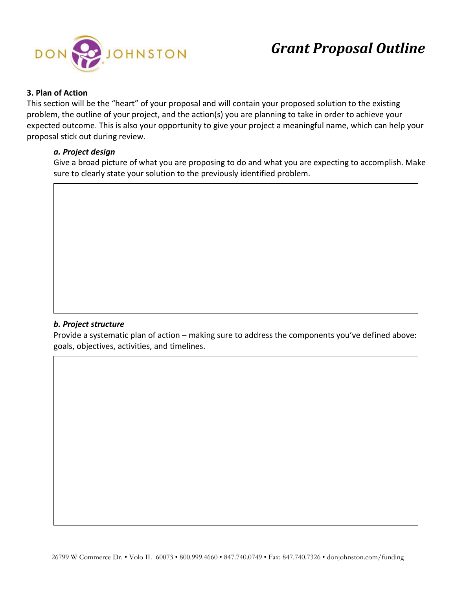

### **3. Plan of Action**

This section will be the "heart" of your proposal and will contain your proposed solution to the existing problem, the outline of your project, and the action(s) you are planning to take in order to achieve your expected outcome. This is also your opportunity to give your project a meaningful name, which can help your proposal stick out during review.

### *a. Project design*

Give a broad picture of what you are proposing to do and what you are expecting to accomplish. Make sure to clearly state your solution to the previously identified problem.

# *b. Project structure*

Provide a systematic plan of action – making sure to address the components you've defined above: goals, objectives, activities, and timelines.